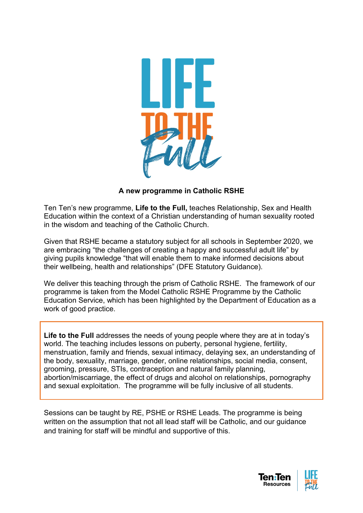

### **A new programme in Catholic RSHE**

Ten Ten's new programme, **Life to the Full,** teaches Relationship, Sex and Health Education within the context of a Christian understanding of human sexuality rooted in the wisdom and teaching of the Catholic Church.

Given that RSHE became a statutory subject for all schools in September 2020, we are embracing "the challenges of creating a happy and successful adult life" by giving pupils knowledge "that will enable them to make informed decisions about their wellbeing, health and relationships" (DFE Statutory Guidance).

We deliver this teaching through the prism of Catholic RSHE. The framework of our programme is taken from the Model Catholic RSHE Programme by the Catholic Education Service, which has been highlighted by the Department of Education as a work of good practice.

**Life to the Full** addresses the needs of young people where they are at in today's world. The teaching includes lessons on puberty, personal hygiene, fertility, menstruation, family and friends, sexual intimacy, delaying sex, an understanding of the body, sexuality, marriage, gender, online relationships, social media, consent, grooming, pressure, STIs, contraception and natural family planning, abortion/miscarriage, the effect of drugs and alcohol on relationships, pornography and sexual exploitation. The programme will be fully inclusive of all students.

Sessions can be taught by RE, PSHE or RSHE Leads. The programme is being written on the assumption that not all lead staff will be Catholic, and our guidance and training for staff will be mindful and supportive of this.

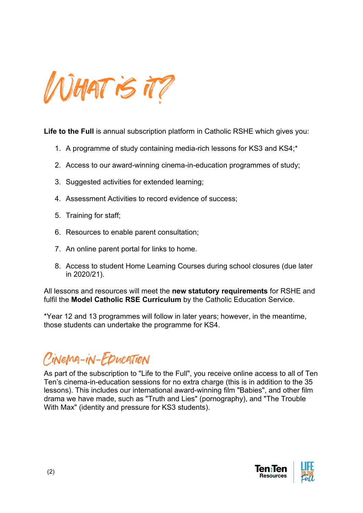

**Life to the Full** is annual subscription platform in Catholic RSHE which gives you:

- 1. A programme of study containing media-rich lessons for KS3 and KS4;\*
- 2. Access to our award-winning cinema-in-education programmes of study;
- 3. Suggested activities for extended learning;
- 4. Assessment Activities to record evidence of success;
- 5. Training for staff;
- 6. Resources to enable parent consultation;
- 7. An online parent portal for links to home.
- 8. Access to student Home Learning Courses during school closures (due later in 2020/21).

All lessons and resources will meet the **new statutory requirements** for RSHE and fulfil the **Model Catholic RSE Curriculum** by the Catholic Education Service.

\*Year 12 and 13 programmes will follow in later years; however, in the meantime, those students can undertake the programme for KS4.

# Cinema-in-Education

As part of the subscription to "Life to the Full", you receive online access to all of Ten Ten's cinema-in-education sessions for no extra charge (this is in addition to the 35 lessons). This includes our international award-winning film "Babies", and other film drama we have made, such as "Truth and Lies" (pornography), and "The Trouble With Max" (identity and pressure for KS3 students).

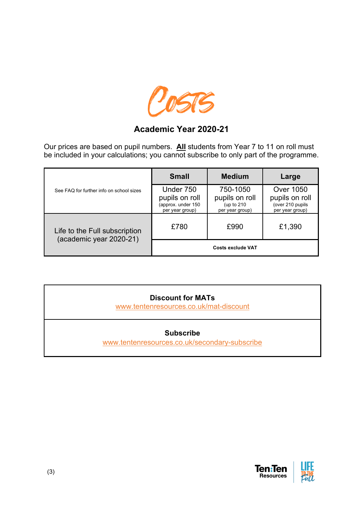

## **Academic Year 2020-21**

Our prices are based on pupil numbers. **All** students from Year 7 to 11 on roll must be included in your calculations; you cannot subscribe to only part of the programme.

| See FAQ for further info on school sizes                 | <b>Small</b>                                                         | <b>Medium</b>                                                | Large                                                                     |
|----------------------------------------------------------|----------------------------------------------------------------------|--------------------------------------------------------------|---------------------------------------------------------------------------|
|                                                          | Under 750<br>pupils on roll<br>(approx. under 150<br>per year group) | 750-1050<br>pupils on roll<br>(up to 210)<br>per year group) | <b>Over 1050</b><br>pupils on roll<br>(over 210 pupils<br>per year group) |
| Life to the Full subscription<br>(academic year 2020-21) | £780                                                                 | £990                                                         | £1,390                                                                    |
|                                                          | <b>Costs exclude VAT</b>                                             |                                                              |                                                                           |

| <b>Discount for MATs</b><br>www.tentenresources.co.uk/mat-discount |  |  |  |
|--------------------------------------------------------------------|--|--|--|
| <b>Subscribe</b><br>www.tentenresources.co.uk/secondary-subscribe  |  |  |  |